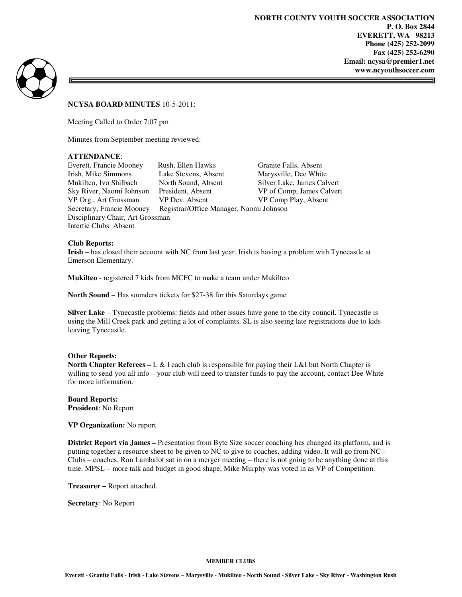=



## **NCYSA BOARD MINUTES** 10-5-2011:

Meeting Called to Order 7:07 pm

Minutes from September meeting reviewed:

### **ATTENDANCE**:

Everett, Francie Mooney Rush, Ellen Hawks Granite Falls, Absent<br>
Irish, Mike Simmons Lake Stevens, Absent Marysville, Dee White Irish, Mike Simmons Lake Stevens, Absent Marysville, Dee White Mukilteo, Ivo Shilbach North Sound, Absent Silver Lake, James Cal Mukilteo, Ivo Shilbach North Sound, Absent Silver Lake, James Calvert Sky River, Naomi Johnson President, Absent VP of Comp, James Calvert VP Org., Art Grossman VP Dev. Absent VP Comp Play, Absent Secretary, Francie Mooney Registrar/Office Manager, Naomi Johnson Disciplinary Chair, Art Grossman Intertie Clubs: Absent

### **Club Reports:**

**Irish** – has closed their account with NC from last year. Irish is having a problem with Tynecastle at Emerson Elementary.

**Mukilteo** - registered 7 kids from MCFC to make a team under Mukilteo

**North Sound** – Has sounders tickets for \$27-38 for this Saturdays game

**Silver Lake** – Tynecastle problems: fields and other issues have gone to the city council. Tynecastle is using the Mill Creek park and getting a lot of complaints. SL is also seeing late registrations due to kids leaving Tynecastle.

### **Other Reports:**

**North Chapter Referees – L & I** each club is responsible for paying their L&I but North Chapter is willing to send you all info – your club will need to transfer funds to pay the account, contact Dee White for more information.

**Board Reports: President**: No Report

**VP Organization:** No report

**District Report via James –** Presentation from Byte Size soccer coaching has changed its platform, and is putting together a resource sheet to be given to NC to give to coaches, adding video. It will go from NC – Clubs – coaches. Ron Lambalot sat in on a merger meeting – there is not going to be anything done at this time. MPSL – more talk and budget in good shape, Mike Murphy was voted in as VP of Competition.

**Treasurer –** Report attached.

**Secretary**: No Report

#### **MEMBER CLUBS**